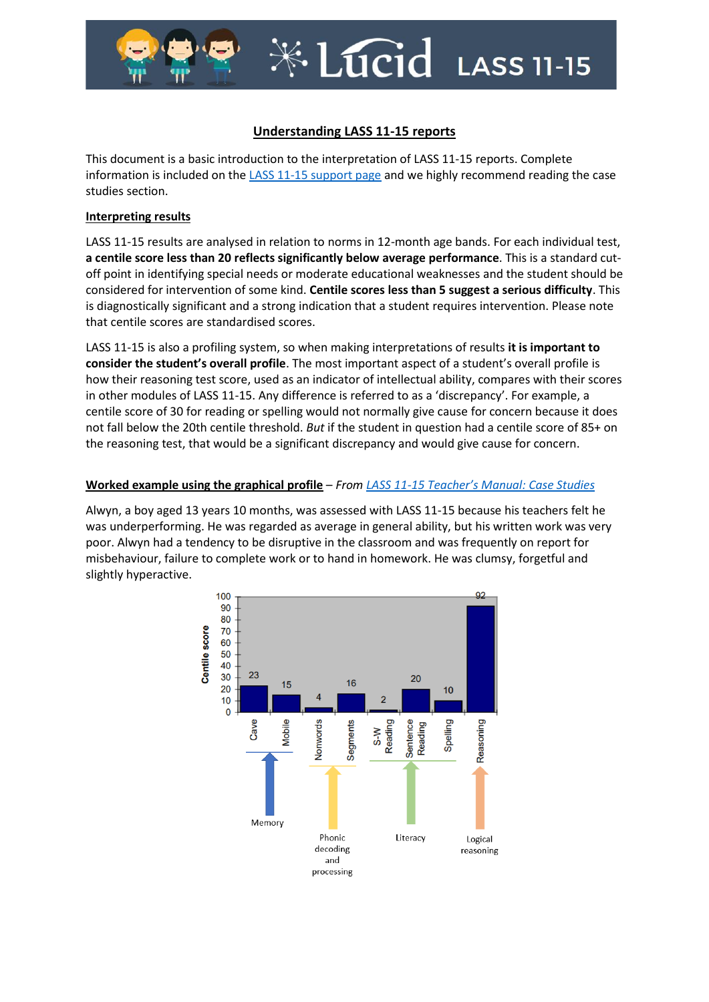

# $*L$

## **Understanding LASS 11-15 reports**

This document is a basic introduction to the interpretation of LASS 11-15 reports. Complete information is included on the [LASS 11-15 support page](https://support.gl-assessment.co.uk/knowledge-base/assessments/lass-11-15-support/) and we highly recommend reading the case studies section.

#### **Interpreting results**

LASS 11-15 results are analysed in relation to norms in 12-month age bands. For each individual test, **a centile score less than 20 reflects significantly below average performance**. This is a standard cutoff point in identifying special needs or moderate educational weaknesses and the student should be considered for intervention of some kind. **Centile scores less than 5 suggest a serious difficulty**. This is diagnostically significant and a strong indication that a student requires intervention. Please note that centile scores are standardised scores.

LASS 11-15 is also a profiling system, so when making interpretations of results **it is important to consider the student's overall profile**. The most important aspect of a student's overall profile is how their reasoning test score, used as an indicator of intellectual ability, compares with their scores in other modules of LASS 11-15. Any difference is referred to as a 'discrepancy'. For example, a centile score of 30 for reading or spelling would not normally give cause for concern because it does not fall below the 20th centile threshold. *But* if the student in question had a centile score of 85+ on the reasoning test, that would be a significant discrepancy and would give cause for concern.

### **Worked example using the graphical profile** – *From LASS 11-[15 Teacher's Manual: Case Studies](https://support.gl-assessment.co.uk/knowledge-base/assessments/lass-11-15-support/case-studies/classic-dyslexia/)*

Alwyn, a boy aged 13 years 10 months, was assessed with LASS 11-15 because his teachers felt he was underperforming. He was regarded as average in general ability, but his written work was very poor. Alwyn had a tendency to be disruptive in the classroom and was frequently on report for misbehaviour, failure to complete work or to hand in homework. He was clumsy, forgetful and slightly hyperactive.